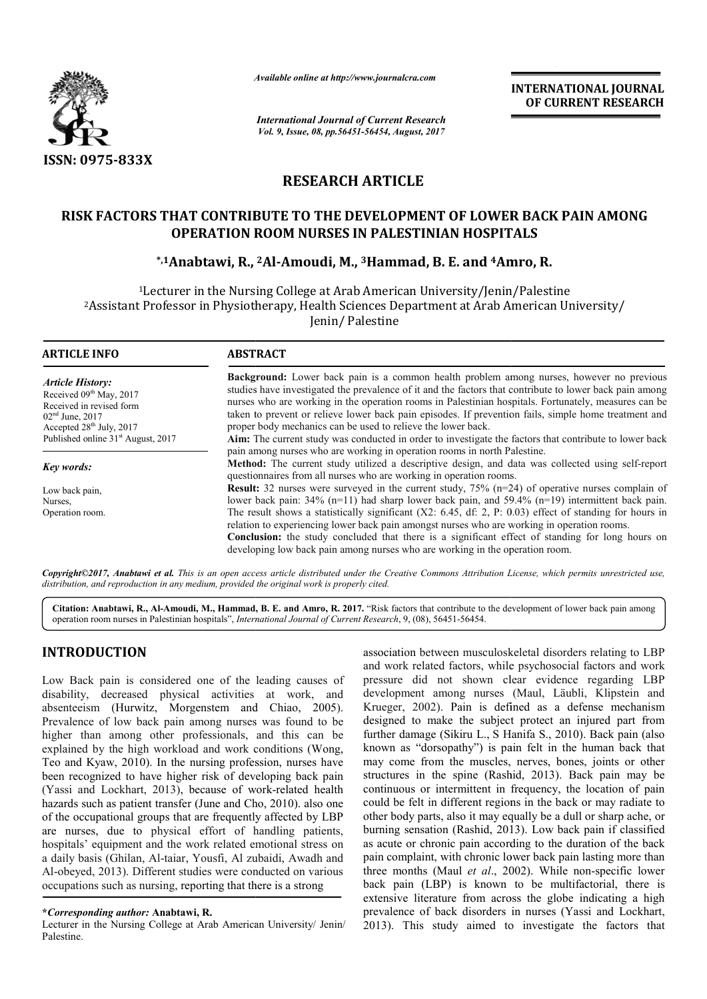

*Available online at http://www.journal http://www.journalcra.com*

*International Journal of Current Research Vol. 9, Issue, 08, pp.56451-56454, August, 2017* **INTERNATIONAL JOURNAL OF CURRENT RESEARCH** 

# **RESEARCH ARTICLE**

## **RISK FACTORS THAT CONTRIBUTE TO THE DEVELOPMENT OF LOWER BACK PAIN AMONG OPERATION ROOM NURSES IN PALESTINIAN HOSPITALS**

## **\*,1Anabtawi, R., , 2Al-Amoudi, M., 3Hammad, B. E. and 4Amro Amro, R.**

<sup>1</sup>Lecturer in the Nursing College at Arab American University/Jenin/Palestine 2Assistant Professor in Physiotherapy, Health Sciences Department at Arab American University/ Lecturer in the Nursing College at Arab Ameri^<br>Assistant Professor in Physiotherapy, Health Sciences D<br>Jenin/ Palestine Assistant Professor in Physiotherapy, Health Sciences Department

| <b>ARTICLE INFO</b>                                                                                                               | <b>ABSTRACT</b>                                                                                                                                                                                                                                                                                                                                                                                                                                                                                                                                                                                                                |  |
|-----------------------------------------------------------------------------------------------------------------------------------|--------------------------------------------------------------------------------------------------------------------------------------------------------------------------------------------------------------------------------------------------------------------------------------------------------------------------------------------------------------------------------------------------------------------------------------------------------------------------------------------------------------------------------------------------------------------------------------------------------------------------------|--|
| <b>Article History:</b><br>Received 09th May, 2017<br>Received in revised form<br>$02nd$ June, 2017<br>Accepted $28th$ July, 2017 | <b>Background:</b> Lower back pain is a common health problem among nurses, however no previous<br>studies have investigated the prevalence of it and the factors that contribute to lower back pain among<br>nurses who are working in the operation rooms in Palestinian hospitals. Fortunately, measures can be<br>taken to prevent or relieve lower back pain episodes. If prevention fails, simple home treatment and<br>proper body mechanics can be used to relieve the lower back.                                                                                                                                     |  |
| Published online 31 <sup>st</sup> August, 2017                                                                                    | Aim: The current study was conducted in order to investigate the factors that contribute to lower back                                                                                                                                                                                                                                                                                                                                                                                                                                                                                                                         |  |
| Key words:                                                                                                                        | pain among nurses who are working in operation rooms in north Palestine.<br>Method: The current study utilized a descriptive design, and data was collected using self-report<br>questionnaires from all nurses who are working in operation rooms.                                                                                                                                                                                                                                                                                                                                                                            |  |
| Low back pain,<br>Nurses,<br>Operation room.                                                                                      | <b>Result:</b> 32 nurses were surveyed in the current study, $75\%$ ( $n=24$ ) of operative nurses complain of<br>lower back pain: $34\%$ (n=11) had sharp lower back pain, and $59.4\%$ (n=19) intermittent back pain.<br>The result shows a statistically significant $(X2: 6.45, df: 2, P: 0.03)$ effect of standing for hours in<br>relation to experiencing lower back pain amongst nurses who are working in operation rooms.<br><b>Conclusion:</b> the study concluded that there is a significant effect of standing for long hours on<br>developing low back pain among nurses who are working in the operation room. |  |

*Copyright©2017, Anabtawi et al. This is an open access article distributed under the Creative Commons Att Attribution License, which ribution permits unrestricted use, distribution, and reproduction in any medium, provided the original work is properly cited.*

Citation: Anabtawi, R., Al-Amoudi, M., Hammad, B. E. and Amro, R. 2017. "Risk factors that contribute to the development of lower back pain among operation room nurses in Palestinian hospitals", *International Journal of Current Research* , 9, (08), 56451-56454.

# **INTRODUCTION**

Low Back pain is considered one of the leading causes of disability, decreased physical activities at work, and absenteeism (Hurwitz, Morgenstem and Chiao, 2005). Prevalence of low back pain among nurses was found to be higher than among other professionals, and this can be explained by the high workload and work conditions (Wong, Teo and Kyaw, 2010). In the nursing profession, nurses have been recognized to have higher risk of developing back pain (Yassi and Lockhart, 2013), because of work-related health hazards such as patient transfer (June and Cho, 2010). also one of the occupational groups that are frequently affected by LBP are nurses, due to physical effort of handling patients, hospitals' equipment and the work related emotional stress on a daily basis (Ghilan, Al-taiar, Yousfi, Al zubaidi, Awadh and Al-obeyed, 2013). Different studies were conducted on various occupations such as nursing, reporting that there is a strong

## **\****Corresponding author:* **Anabtawi, R.**

Lecturer in the Nursing College at Arab American University/ Jenin/ Palestine.

association between musculoskeletal disorders relating to LBP and work related factors, while psychosocial factors and work pressure did not shown clear evidence regarding LBP development among nurses (Maul, Läubli, Klipstein and Krueger, 2002). Pain is defined as a defense mechanism designed to make the subject protect an injured part from further damage (Sikiru L., S Hanifa S., 2010). Back pain (also known as "dorsopathy") is pain felt in the human back that may come from the muscles, nerves, bones, joints or other structures in the spine (Rashid, 2013). Back pain may be continuous or intermittent in frequency, the loc may come from the muscles, nerves, bones, joints or other structures in the spine (Rashid, 2013). Back pain may be continuous or intermittent in frequency, the location of pain could be felt in different regions in the back or may radiate to other body parts, also it may equally be a dull or sharp ache, or could be felt in different regions in the back or may radiate to other body parts, also it may equally be a dull or sharp ache, or burning sensation (Rashid, 2013). Low back pain if classified as acute or chronic pain according to the duration of the back pain complaint, with chronic lower back pain lasting more than pain complaint, with chronic lower back pain lasting more than three months (Maul *et al.*, 2002). While non-specific lower back pain (LBP) is known to be multifactorial, there is back pain (LBP) is known to be multifactorial, there is extensive literature from across the globe indicating a high prevalence of back disorders in nurses (Yassi and Lockhart, 2013). This study aimed to investigate the factors that hetween musculoskeletal disorders relating to LBP related factors, while psychosocial factors and work did not shown clear evidence regarding LBP ent among nurses (Maul, Läubli, Klipstein and 2002). Pain is defined as a de of disorders (Yassi and This the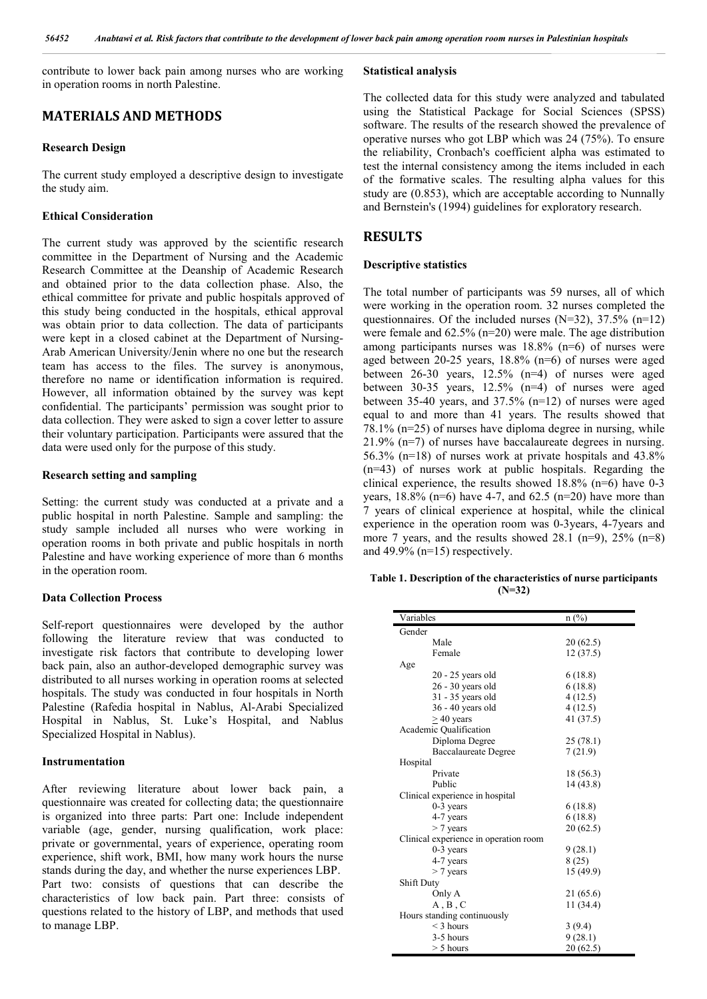contribute to lower back pain among nurses who are working in operation rooms in north Palestine.

## **MATERIALS AND METHODS**

#### **Research Design**

The current study employed a descriptive design to investigate the study aim.

#### **Ethical Consideration**

The current study was approved by the scientific research committee in the Department of Nursing and the Academic Research Committee at the Deanship of Academic Research and obtained prior to the data collection phase. Also, the ethical committee for private and public hospitals approved of this study being conducted in the hospitals, ethical approval was obtain prior to data collection. The data of participants were kept in a closed cabinet at the Department of Nursing-Arab American University/Jenin where no one but the research team has access to the files. The survey is anonymous, therefore no name or identification information is required. However, all information obtained by the survey was kept confidential. The participants' permission was sought prior to data collection. They were asked to sign a cover letter to assure their voluntary participation. Participants were assured that the data were used only for the purpose of this study.

### **Research setting and sampling**

Setting: the current study was conducted at a private and a public hospital in north Palestine. Sample and sampling: the study sample included all nurses who were working in operation rooms in both private and public hospitals in north Palestine and have working experience of more than 6 months in the operation room.

#### **Data Collection Process**

Self-report questionnaires were developed by the author following the literature review that was conducted to investigate risk factors that contribute to developing lower back pain, also an author-developed demographic survey was distributed to all nurses working in operation rooms at selected hospitals. The study was conducted in four hospitals in North Palestine (Rafedia hospital in Nablus, Al-Arabi Specialized Hospital in Nablus, St. Luke's Hospital, and Nablus Specialized Hospital in Nablus).

#### **Instrumentation**

After reviewing literature about lower back pain, a questionnaire was created for collecting data; the questionnaire is organized into three parts: Part one: Include independent variable (age, gender, nursing qualification, work place: private or governmental, years of experience, operating room experience, shift work, BMI, how many work hours the nurse stands during the day, and whether the nurse experiences LBP. Part two: consists of questions that can describe the characteristics of low back pain. Part three: consists of questions related to the history of LBP, and methods that used to manage LBP.

#### **Statistical analysis**

The collected data for this study were analyzed and tabulated using the Statistical Package for Social Sciences (SPSS) software. The results of the research showed the prevalence of operative nurses who got LBP which was 24 (75%). To ensure the reliability, Cronbach's coefficient alpha was estimated to test the internal consistency among the items included in each of the formative scales. The resulting alpha values for this study are (0.853), which are acceptable according to Nunnally and Bernstein's (1994) guidelines for exploratory research.

## **RESULTS**

#### **Descriptive statistics**

The total number of participants was 59 nurses, all of which were working in the operation room. 32 nurses completed the questionnaires. Of the included nurses  $(N=32)$ ,  $37.5\%$  (n=12) were female and 62.5% (n=20) were male. The age distribution among participants nurses was 18.8% (n=6) of nurses were aged between 20-25 years, 18.8% (n=6) of nurses were aged between 26-30 years, 12.5% (n=4) of nurses were aged between 30-35 years, 12.5% (n=4) of nurses were aged between 35-40 years, and 37.5% (n=12) of nurses were aged equal to and more than 41 years. The results showed that 78.1% (n=25) of nurses have diploma degree in nursing, while 21.9% (n=7) of nurses have baccalaureate degrees in nursing. 56.3% (n=18) of nurses work at private hospitals and 43.8% (n=43) of nurses work at public hospitals. Regarding the clinical experience, the results showed 18.8% (n=6) have 0-3 years,  $18.8\%$  (n=6) have 4-7, and 62.5 (n=20) have more than 7 years of clinical experience at hospital, while the clinical experience in the operation room was 0-3years, 4-7years and more 7 years, and the results showed  $28.1$  (n=9),  $25\%$  (n=8) and 49.9% (n=15) respectively.

**Table 1. Description of the characteristics of nurse participants (N=32)**

| Variables |                                       | $n$ (%)   |  |  |  |
|-----------|---------------------------------------|-----------|--|--|--|
|           | Gender                                |           |  |  |  |
|           | Male                                  | 20(62.5)  |  |  |  |
|           | Female                                | 12(37.5)  |  |  |  |
| Age       |                                       |           |  |  |  |
|           | 20 - 25 years old                     | 6(18.8)   |  |  |  |
|           | $26 - 30$ years old                   | 6(18.8)   |  |  |  |
|           | $31 - 35$ years old                   | 4(12.5)   |  |  |  |
|           | 36 - 40 years old                     | 4(12.5)   |  |  |  |
|           | $> 40$ years                          | 41 (37.5) |  |  |  |
|           | Academic Qualification                |           |  |  |  |
|           | Diploma Degree                        | 25(78.1)  |  |  |  |
|           | <b>Baccalaureate Degree</b>           | 7(21.9)   |  |  |  |
| Hospital  |                                       |           |  |  |  |
|           | Private                               | 18 (56.3) |  |  |  |
|           | Public                                | 14 (43.8) |  |  |  |
|           | Clinical experience in hospital       |           |  |  |  |
|           | $0-3$ years                           | 6(18.8)   |  |  |  |
|           | 4-7 years                             | 6(18.8)   |  |  |  |
|           | $>$ 7 years                           | 20(62.5)  |  |  |  |
|           | Clinical experience in operation room |           |  |  |  |
|           | $0-3$ years                           | 9(28.1)   |  |  |  |
|           | 4-7 years                             | 8(25)     |  |  |  |
|           | $>$ 7 years                           | 15 (49.9) |  |  |  |
|           | <b>Shift Duty</b>                     |           |  |  |  |
|           | Only A                                | 21 (65.6) |  |  |  |
|           | A, B, C                               | 11 (34.4) |  |  |  |
|           | Hours standing continuously           |           |  |  |  |
|           | $<$ 3 hours                           | 3(9.4)    |  |  |  |
|           | 3-5 hours                             | 9(28.1)   |  |  |  |
|           | $> 5$ hours                           | 20(62.5)  |  |  |  |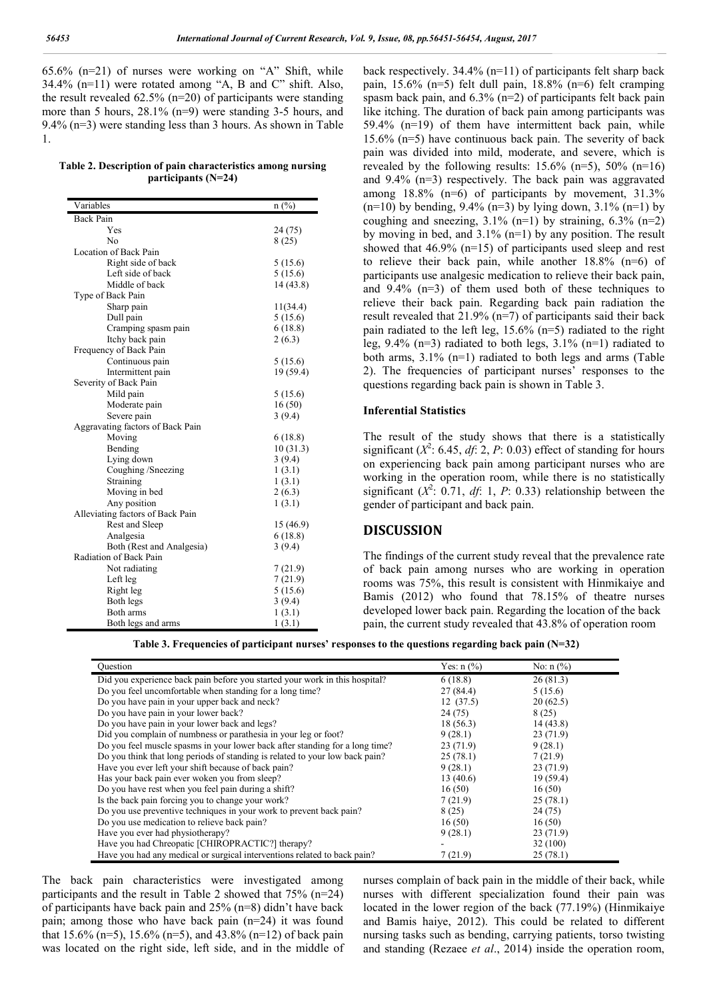65.6% (n=21) of nurses were working on "A" Shift, while 34.4% (n=11) were rotated among "A, B and C" shift. Also, the result revealed  $62.5\%$  (n=20) of participants were standing more than 5 hours, 28.1% (n=9) were standing 3-5 hours, and 9.4% (n=3) were standing less than 3 hours. As shown in Table 1.

**Table 2. Description of pain characteristics among nursing participants (N=24)**

| Variables                        | $n$ (%)   |  |
|----------------------------------|-----------|--|
| <b>Back Pain</b>                 |           |  |
| Yes                              | 24 (75)   |  |
| No                               | 8(25)     |  |
| Location of Back Pain            |           |  |
| Right side of back               | 5(15.6)   |  |
| Left side of back                | 5(15.6)   |  |
| Middle of back                   | 14 (43.8) |  |
| Type of Back Pain                |           |  |
| Sharp pain                       | 11(34.4)  |  |
| Dull pain                        | 5(15.6)   |  |
| Cramping spasm pain              | 6(18.8)   |  |
| Itchy back pain                  | 2(6.3)    |  |
| Frequency of Back Pain           |           |  |
| Continuous pain                  | 5(15.6)   |  |
| Intermittent pain                | 19 (59.4) |  |
| Severity of Back Pain            |           |  |
| Mild pain                        | 5(15.6)   |  |
| Moderate pain                    | 16(50)    |  |
| Severe pain                      | 3(9.4)    |  |
| Aggravating factors of Back Pain |           |  |
| Moving                           | 6(18.8)   |  |
| Bending                          | 10(31.3)  |  |
| Lying down                       | 3(9.4)    |  |
| Coughing/Sneezing                | 1(3.1)    |  |
| Straining                        | 1(3.1)    |  |
| Moving in bed                    | 2(6.3)    |  |
| Any position                     | 1(3.1)    |  |
| Alleviating factors of Back Pain |           |  |
| Rest and Sleep                   | 15 (46.9) |  |
| Analgesia                        | 6(18.8)   |  |
| Both (Rest and Analgesia)        | 3(9.4)    |  |
| Radiation of Back Pain           |           |  |
| Not radiating                    | 7(21.9)   |  |
| Left leg                         | 7(21.9)   |  |
| Right leg                        | 5(15.6)   |  |
| Both legs                        | 3(9.4)    |  |
| Both arms                        | 1(3.1)    |  |
| Both legs and arms               | 1(3.1)    |  |

back respectively. 34.4% (n=11) of participants felt sharp back pain, 15.6% (n=5) felt dull pain, 18.8% (n=6) felt cramping spasm back pain, and  $6.3\%$  (n=2) of participants felt back pain like itching. The duration of back pain among participants was 59.4% (n=19) of them have intermittent back pain, while 15.6% (n=5) have continuous back pain. The severity of back pain was divided into mild, moderate, and severe, which is revealed by the following results:  $15.6\%$  (n=5),  $50\%$  (n=16) and 9.4% (n=3) respectively. The back pain was aggravated among 18.8% (n=6) of participants by movement, 31.3%  $(n=10)$  by bending, 9.4%  $(n=3)$  by lying down, 3.1%  $(n=1)$  by coughing and sneezing,  $3.1\%$  (n=1) by straining,  $6.3\%$  (n=2) by moving in bed, and 3.1% (n=1) by any position. The result showed that 46.9% (n=15) of participants used sleep and rest to relieve their back pain, while another 18.8% (n=6) of participants use analgesic medication to relieve their back pain, and 9.4% (n=3) of them used both of these techniques to relieve their back pain. Regarding back pain radiation the result revealed that 21.9% (n=7) of participants said their back pain radiated to the left leg, 15.6% (n=5) radiated to the right leg,  $9.4\%$  (n=3) radiated to both legs,  $3.1\%$  (n=1) radiated to both arms, 3.1% (n=1) radiated to both legs and arms (Table 2). The frequencies of participant nurses' responses to the questions regarding back pain is shown in Table 3.

### **Inferential Statistics**

The result of the study shows that there is a statistically significant  $(X^2: 6.45, df: 2, P: 0.03)$  effect of standing for hours on experiencing back pain among participant nurses who are working in the operation room, while there is no statistically significant  $(X^2: 0.71, df: 1, P: 0.33)$  relationship between the gender of participant and back pain.

## **DISCUSSION**

The findings of the current study reveal that the prevalence rate of back pain among nurses who are working in operation rooms was 75%, this result is consistent with Hinmikaiye and Bamis (2012) who found that 78.15% of theatre nurses developed lower back pain. Regarding the location of the back pain, the current study revealed that 43.8% of operation room

**Table 3. Frequencies of participant nurses' responses to the questions regarding back pain (N=32)**

| Question                                                                     | Yes: $n$ $\frac{\%}{\%}$ | No: $n$ (%) |
|------------------------------------------------------------------------------|--------------------------|-------------|
| Did you experience back pain before you started your work in this hospital?  | 6(18.8)                  | 26(81.3)    |
| Do you feel uncomfortable when standing for a long time?                     | 27(84.4)                 | 5(15.6)     |
| Do you have pain in your upper back and neck?                                | 12(37.5)                 | 20(62.5)    |
| Do you have pain in your lower back?                                         | 24 (75)                  | 8(25)       |
| Do you have pain in your lower back and legs?                                | 18(56.3)                 | 14(43.8)    |
| Did you complain of numbness or parathesia in your leg or foot?              | 9(28.1)                  | 23(71.9)    |
| Do you feel muscle spasms in your lower back after standing for a long time? | 23(71.9)                 | 9(28.1)     |
| Do you think that long periods of standing is related to your low back pain? | 25(78.1)                 | 7(21.9)     |
| Have you ever left your shift because of back pain?                          | 9(28.1)                  | 23(71.9)    |
| Has your back pain ever woken you from sleep?                                | 13(40.6)                 | 19(59.4)    |
| Do you have rest when you feel pain during a shift?                          | 16(50)                   | 16(50)      |
| Is the back pain forcing you to change your work?                            | 7(21.9)                  | 25(78.1)    |
| Do you use preventive techniques in your work to prevent back pain?          | 8(25)                    | 24(75)      |
| Do you use medication to relieve back pain?                                  | 16(50)                   | 16(50)      |
| Have you ever had physiotherapy?                                             | 9(28.1)                  | 23(71.9)    |
| Have you had Chreopatic [CHIROPRACTIC?] therapy?                             |                          | 32(100)     |
| Have you had any medical or surgical interventions related to back pain?     | 7(21.9)                  | 25(78.1)    |

The back pain characteristics were investigated among participants and the result in Table 2 showed that 75% (n=24) of participants have back pain and 25% (n=8) didn't have back pain; among those who have back pain (n=24) it was found that 15.6% (n=5), 15.6% (n=5), and 43.8% (n=12) of back pain was located on the right side, left side, and in the middle of nurses complain of back pain in the middle of their back, while nurses with different specialization found their pain was located in the lower region of the back (77.19%) (Hinmikaiye and Bamis haiye, 2012). This could be related to different nursing tasks such as bending, carrying patients, torso twisting and standing (Rezaee *et al*., 2014) inside the operation room,